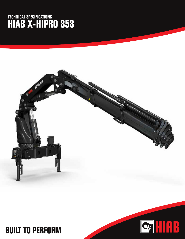## **TECHNICAL SPECIFICATIONS HIAB X-HIPRO 858**





## **BUILT TO PERFORM**